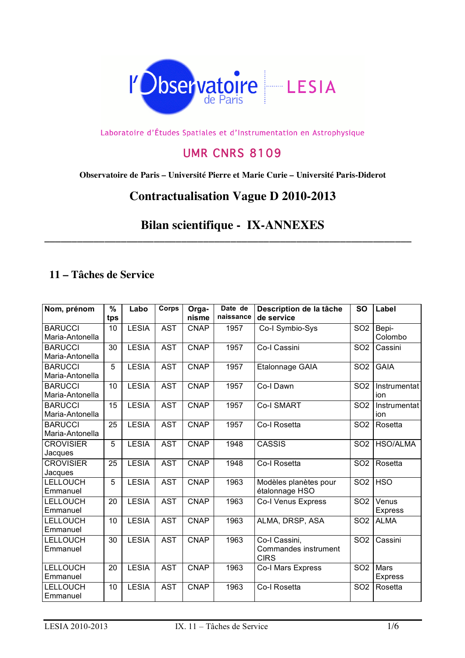

Laboratoire d'Études Spatiales et d'Instrumentation en Astrophysique

## UMR CNRS 8109

**Observatoire de Paris – Université Pierre et Marie Curie – Université Paris-Diderot**

## **Contractualisation Vague D 2010-2013**

## **Bilan scientifique - IX-ANNEXES**

**\_\_\_\_\_\_\_\_\_\_\_\_\_\_\_\_\_\_\_\_\_\_\_\_\_\_\_\_\_\_\_\_\_\_\_\_\_\_\_\_\_\_\_\_\_\_\_\_\_\_\_\_\_\_\_\_\_\_\_\_\_\_\_\_\_\_\_**

## **11 – Tâches de Service**

| Nom, prénom                 | $\frac{9}{6}$<br>tps | Labo         | Corps      | Orga-<br>nisme | Date de<br>naissance | Description de la tâche<br>de service   | <b>SO</b>       | Label                   |
|-----------------------------|----------------------|--------------|------------|----------------|----------------------|-----------------------------------------|-----------------|-------------------------|
| <b>BARUCCI</b>              | 10                   | <b>LESIA</b> | <b>AST</b> | <b>CNAP</b>    | 1957                 | Co-I Symbio-Sys                         | SO <sub>2</sub> | Bepi-                   |
| Maria-Antonella             |                      |              |            |                |                      |                                         |                 | Colombo                 |
| <b>BARUCCI</b>              | 30                   | <b>LESIA</b> | <b>AST</b> | <b>CNAP</b>    | 1957                 | Co-I Cassini                            | SO <sub>2</sub> | Cassini                 |
| Maria-Antonella             |                      |              |            |                |                      |                                         |                 |                         |
| <b>BARUCCI</b>              | 5                    | <b>LESIA</b> | <b>AST</b> | <b>CNAP</b>    | 1957                 | Etalonnage GAIA                         | SO <sub>2</sub> | <b>GAIA</b>             |
| Maria-Antonella             |                      |              |            |                |                      |                                         |                 |                         |
| <b>BARUCCI</b>              | 10                   | <b>LESIA</b> | <b>AST</b> | <b>CNAP</b>    | 1957                 | Co-I Dawn                               | SO <sub>2</sub> | Instrumentat            |
| Maria-Antonella             |                      |              |            |                |                      |                                         |                 | ion                     |
| <b>BARUCCI</b>              | 15                   | <b>LESIA</b> | <b>AST</b> | <b>CNAP</b>    | 1957                 | <b>Co-I SMART</b>                       | SO <sub>2</sub> | Instrumentat            |
| Maria-Antonella             |                      |              |            |                |                      |                                         |                 | ion                     |
| <b>BARUCCI</b>              | 25                   | <b>LESIA</b> | <b>AST</b> | <b>CNAP</b>    | 1957                 | Co-I Rosetta                            | SO <sub>2</sub> | Rosetta                 |
| Maria-Antonella             |                      |              |            |                |                      |                                         |                 |                         |
| <b>CROVISIER</b>            | 5                    | <b>LESIA</b> | <b>AST</b> | <b>CNAP</b>    | 1948                 | <b>CASSIS</b>                           | SO <sub>2</sub> | <b>HSO/ALMA</b>         |
| Jacques                     |                      |              |            |                |                      |                                         |                 |                         |
| <b>CROVISIER</b>            | 25                   | <b>LESIA</b> | <b>AST</b> | <b>CNAP</b>    | 1948                 | Co-I Rosetta                            | SO <sub>2</sub> | Rosetta                 |
| Jacques                     |                      |              |            |                |                      |                                         |                 |                         |
| <b>LELLOUCH</b><br>Emmanuel | 5                    | <b>LESIA</b> | <b>AST</b> | <b>CNAP</b>    | 1963                 | Modèles planètes pour<br>étalonnage HSO | SO <sub>2</sub> | <b>HSO</b>              |
| <b>LELLOUCH</b>             |                      | <b>LESIA</b> | <b>AST</b> |                | 1963                 |                                         | SO <sub>2</sub> |                         |
| Emmanuel                    | 20                   |              |            | <b>CNAP</b>    |                      | Co-I Venus Express                      |                 | Venus<br><b>Express</b> |
| <b>LELLOUCH</b>             |                      | <b>LESIA</b> | <b>AST</b> | <b>CNAP</b>    | 1963                 |                                         |                 |                         |
| Emmanuel                    | 10                   |              |            |                |                      | ALMA, DRSP, ASA                         | SO <sub>2</sub> | <b>ALMA</b>             |
| LELLOUCH                    | 30                   | <b>LESIA</b> | <b>AST</b> | <b>CNAP</b>    | 1963                 | Co-I Cassini,                           | SO <sub>2</sub> | Cassini                 |
| Emmanuel                    |                      |              |            |                |                      | Commandes instrument                    |                 |                         |
|                             |                      |              |            |                |                      | <b>CIRS</b>                             |                 |                         |
| <b>LELLOUCH</b>             | 20                   | <b>LESIA</b> | <b>AST</b> | <b>CNAP</b>    | 1963                 | Co-I Mars Express                       | SO <sub>2</sub> | Mars                    |
| Emmanuel                    |                      |              |            |                |                      |                                         |                 | <b>Express</b>          |
| <b>LELLOUCH</b>             | 10                   | <b>LESIA</b> | <b>AST</b> | <b>CNAP</b>    | 1963                 | Co-I Rosetta                            | SO <sub>2</sub> | Rosetta                 |
| Emmanuel                    |                      |              |            |                |                      |                                         |                 |                         |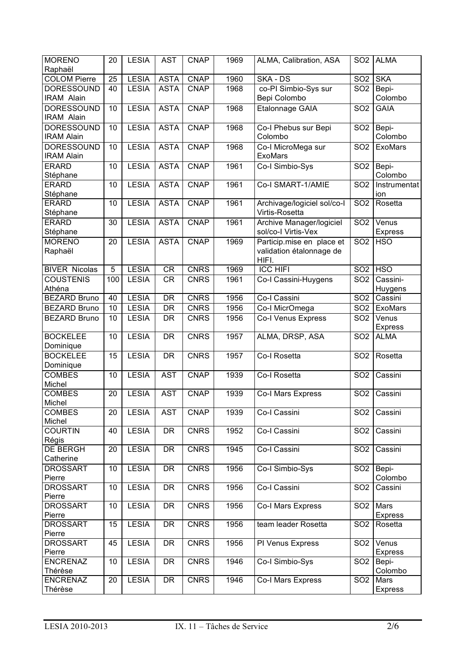| <b>MORENO</b>                          | 20  | <b>LESIA</b> | <b>AST</b>  | <b>CNAP</b> | 1969 | ALMA, Calibration, ASA                                         | SO <sub>2</sub> | <b>ALMA</b>            |
|----------------------------------------|-----|--------------|-------------|-------------|------|----------------------------------------------------------------|-----------------|------------------------|
| Raphaël                                |     |              |             |             |      |                                                                |                 |                        |
| <b>COLOM Pierre</b>                    | 25  | <b>LESIA</b> | <b>ASTA</b> | <b>CNAP</b> | 1960 | SKA - DS                                                       | SO <sub>2</sub> | <b>SKA</b>             |
| <b>DORESSOUND</b>                      | 40  | <b>LESIA</b> | <b>ASTA</b> | <b>CNAP</b> | 1968 | co-PI Simbio-Sys sur                                           | SO <sub>2</sub> | Bepi-                  |
| <b>IRAM Alain</b>                      |     |              |             |             |      | Bepi Colombo                                                   |                 | Colombo                |
| <b>DORESSOUND</b><br><b>IRAM Alain</b> | 10  | <b>LESIA</b> | <b>ASTA</b> | <b>CNAP</b> | 1968 | <b>Etalonnage GAIA</b>                                         | SO <sub>2</sub> | <b>GAIA</b>            |
| <b>DORESSOUND</b>                      | 10  | <b>LESIA</b> | <b>ASTA</b> | <b>CNAP</b> | 1968 | Co-I Phebus sur Bepi                                           | SO <sub>2</sub> | Bepi-                  |
| <b>IRAM Alain</b>                      |     |              |             |             |      | Colombo                                                        |                 | Colombo                |
| <b>DORESSOUND</b><br><b>IRAM Alain</b> | 10  | <b>LESIA</b> | <b>ASTA</b> | <b>CNAP</b> | 1968 | Co-I MicroMega sur<br><b>ExoMars</b>                           | SO <sub>2</sub> | ExoMars                |
| <b>ERARD</b><br>Stéphane               | 10  | <b>LESIA</b> | <b>ASTA</b> | <b>CNAP</b> | 1961 | Co-I Simbio-Sys                                                | SO <sub>2</sub> | Bepi-<br>Colombo       |
| <b>ERARD</b>                           | 10  | <b>LESIA</b> | <b>ASTA</b> | <b>CNAP</b> | 1961 | Co-I SMART-1/AMIE                                              | SO <sub>2</sub> | Instrumentat           |
| Stéphane                               |     |              |             |             |      |                                                                |                 | ion                    |
| <b>ERARD</b><br>Stéphane               | 10  | <b>LESIA</b> | <b>ASTA</b> | <b>CNAP</b> | 1961 | Archivage/logiciel sol/co-l<br>Virtis-Rosetta                  | SO <sub>2</sub> | Rosetta                |
| <b>ERARD</b>                           | 30  | <b>LESIA</b> | <b>ASTA</b> | <b>CNAP</b> | 1961 | Archive Manager/logiciel                                       | SO <sub>2</sub> | Venus                  |
| Stéphane                               |     |              |             |             |      | sol/co-I Virtis-Vex                                            |                 | <b>Express</b>         |
| <b>MORENO</b><br>Raphaël               | 20  | <b>LESIA</b> | <b>ASTA</b> | <b>CNAP</b> | 1969 | Particip.mise en place et<br>validation étalonnage de<br>HIFI. | SO <sub>2</sub> | <b>HSO</b>             |
| <b>BIVER Nicolas</b>                   | 5   | <b>LESIA</b> | <b>CR</b>   | <b>CNRS</b> | 1969 | <b>ICC HIFI</b>                                                | SO <sub>2</sub> | <b>HSO</b>             |
| <b>COUSTENIS</b>                       | 100 | <b>LESIA</b> | <b>CR</b>   | <b>CNRS</b> | 1961 | Co-I Cassini-Huygens                                           | SO <sub>2</sub> | Cassini-               |
| Athéna                                 |     |              |             |             |      |                                                                |                 | Huygens                |
| <b>BEZARD Bruno</b>                    | 40  | <b>LESIA</b> | <b>DR</b>   | <b>CNRS</b> | 1956 | Co-I Cassini                                                   | SO <sub>2</sub> | Cassini                |
| <b>BEZARD Bruno</b>                    | 10  | <b>LESIA</b> | <b>DR</b>   | <b>CNRS</b> | 1956 | Co-I MicrOmega                                                 | SO <sub>2</sub> | ExoMars                |
| <b>BEZARD Bruno</b>                    | 10  | <b>LESIA</b> | DR.         | <b>CNRS</b> | 1956 | Co-I Venus Express                                             | SO <sub>2</sub> | Venus                  |
|                                        |     |              |             |             |      |                                                                |                 | <b>Express</b>         |
| <b>BOCKELEE</b><br>Dominique           | 10  | <b>LESIA</b> | <b>DR</b>   | <b>CNRS</b> | 1957 | ALMA, DRSP, ASA                                                | SO <sub>2</sub> | <b>ALMA</b>            |
| <b>BOCKELEE</b><br>Dominique           | 15  | <b>LESIA</b> | <b>DR</b>   | <b>CNRS</b> | 1957 | Co-I Rosetta                                                   | SO <sub>2</sub> | Rosetta                |
| <b>COMBES</b><br>Michel                | 10  | <b>LESIA</b> | <b>AST</b>  | <b>CNAP</b> | 1939 | Co-I Rosetta                                                   | SO <sub>2</sub> | Cassini                |
| <b>COMBES</b>                          | 20  | <b>LESIA</b> | <b>AST</b>  | <b>CNAP</b> | 1939 | Co-I Mars Express                                              | SO <sub>2</sub> | Cassini                |
| Michel                                 |     |              |             |             |      |                                                                |                 |                        |
| <b>COMBES</b>                          | 20  | <b>LESIA</b> | <b>AST</b>  | <b>CNAP</b> | 1939 | Co-I Cassini                                                   | SO <sub>2</sub> | Cassini                |
| Michel                                 |     |              |             |             |      |                                                                |                 |                        |
| <b>COURTIN</b><br>Régis                | 40  | <b>LESIA</b> | DR          | <b>CNRS</b> | 1952 | Co-I Cassini                                                   | SO <sub>2</sub> | Cassini                |
| DE BERGH<br>Catherine                  | 20  | <b>LESIA</b> | DR          | <b>CNRS</b> | 1945 | Co-I Cassini                                                   | SO <sub>2</sub> | Cassini                |
| <b>DROSSART</b>                        | 10  | <b>LESIA</b> | DR          | <b>CNRS</b> | 1956 | Co-I Simbio-Sys                                                | SO <sub>2</sub> | Bepi-                  |
| Pierre<br><b>DROSSART</b>              | 10  | <b>LESIA</b> |             | <b>CNRS</b> | 1956 | Co-I Cassini                                                   |                 | Colombo<br>Cassini     |
| Pierre                                 |     |              | DR          |             |      |                                                                | SO <sub>2</sub> |                        |
| <b>DROSSART</b><br>Pierre              | 10  | <b>LESIA</b> | DR          | <b>CNRS</b> | 1956 | Co-I Mars Express                                              | SO <sub>2</sub> | Mars<br><b>Express</b> |
| <b>DROSSART</b><br>Pierre              | 15  | <b>LESIA</b> | DR          | <b>CNRS</b> | 1956 | team leader Rosetta                                            | SO <sub>2</sub> | Rosetta                |
| <b>DROSSART</b>                        | 45  | <b>LESIA</b> | DR          | <b>CNRS</b> | 1956 | PI Venus Express                                               | SO <sub>2</sub> | Venus                  |
| Pierre                                 |     |              |             |             |      |                                                                |                 | <b>Express</b>         |
| <b>ENCRENAZ</b><br>Thérèse             | 10  | <b>LESIA</b> | DR          | <b>CNRS</b> | 1946 | Co-I Simbio-Sys                                                | SO <sub>2</sub> | Bepi-<br>Colombo       |
| <b>ENCRENAZ</b>                        | 20  | <b>LESIA</b> | DR          | <b>CNRS</b> | 1946 | Co-I Mars Express                                              | SO <sub>2</sub> | Mars                   |
| Thérèse                                |     |              |             |             |      |                                                                |                 | <b>Express</b>         |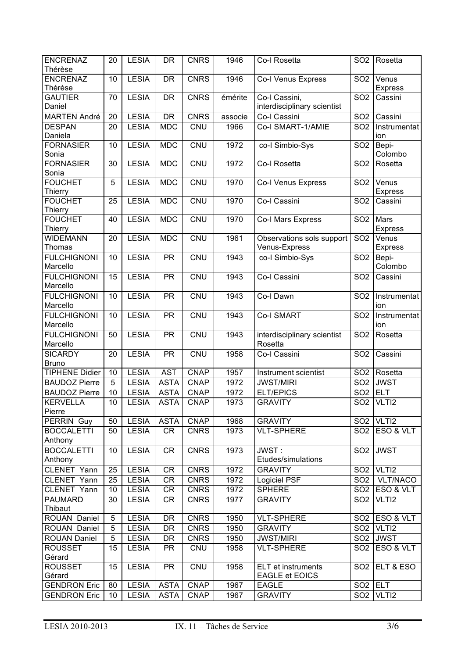| <b>ENCRENAZ</b><br>Thérèse | 20 | <b>LESIA</b> | DR          | <b>CNRS</b> | 1946    | Co-I Rosetta                | SO <sub>2</sub> | Rosetta                             |
|----------------------------|----|--------------|-------------|-------------|---------|-----------------------------|-----------------|-------------------------------------|
| <b>ENCRENAZ</b>            | 10 | <b>LESIA</b> | <b>DR</b>   | <b>CNRS</b> | 1946    | Co-I Venus Express          | SO <sub>2</sub> | Venus                               |
| Thérèse                    |    |              |             |             |         |                             |                 | <b>Express</b>                      |
| <b>GAUTIER</b>             | 70 | <b>LESIA</b> | <b>DR</b>   | <b>CNRS</b> | émérite | Co-I Cassini,               | SO <sub>2</sub> | Cassini                             |
| Daniel                     |    |              |             |             |         | interdisciplinary scientist |                 |                                     |
| <b>MARTEN André</b>        | 20 | <b>LESIA</b> | <b>DR</b>   | <b>CNRS</b> | associe | Co-I Cassini                | SO <sub>2</sub> | Cassini                             |
| <b>DESPAN</b>              | 20 | <b>LESIA</b> | <b>MDC</b>  | <b>CNU</b>  | 1966    | Co-I SMART-1/AMIE           | SO <sub>2</sub> | Instrumentat                        |
| Daniela                    |    |              |             |             |         |                             |                 | ion                                 |
| <b>FORNASIER</b>           | 10 | <b>LESIA</b> | <b>MDC</b>  | <b>CNU</b>  | 1972    | co-I Simbio-Sys             | SO <sub>2</sub> | Bepi-                               |
| Sonia                      |    |              |             |             |         |                             |                 | Colombo                             |
| <b>FORNASIER</b>           | 30 | <b>LESIA</b> | <b>MDC</b>  | CNU         | 1972    | Co-I Rosetta                | SO <sub>2</sub> | Rosetta                             |
| Sonia                      |    |              |             |             |         |                             |                 |                                     |
| <b>FOUCHET</b>             | 5  | <b>LESIA</b> | <b>MDC</b>  | <b>CNU</b>  | 1970    | Co-I Venus Express          | SO <sub>2</sub> | Venus                               |
| Thierry                    |    |              |             |             |         |                             |                 | <b>Express</b>                      |
| <b>FOUCHET</b>             | 25 | <b>LESIA</b> | <b>MDC</b>  | CNU         | 1970    | Co-I Cassini                | SO <sub>2</sub> | Cassini                             |
| Thierry                    |    |              |             |             |         |                             |                 |                                     |
| <b>FOUCHET</b>             | 40 | <b>LESIA</b> | <b>MDC</b>  | CNU         | 1970    | Co-I Mars Express           | SO <sub>2</sub> | Mars                                |
| Thierry                    |    |              |             |             |         |                             |                 | <b>Express</b>                      |
| <b>WIDEMANN</b>            | 20 | <b>LESIA</b> | <b>MDC</b>  | CNU         | 1961    | Observations sols support   | SO <sub>2</sub> | Venus                               |
| <b>Thomas</b>              |    |              |             |             |         | Venus-Express               |                 | Express                             |
| <b>FULCHIGNONI</b>         | 10 | <b>LESIA</b> | <b>PR</b>   | <b>CNU</b>  | 1943    | co-I Simbio-Sys             | SO <sub>2</sub> | Bepi-                               |
| Marcello                   |    |              |             |             |         |                             |                 | Colombo                             |
| <b>FULCHIGNONI</b>         | 15 | <b>LESIA</b> | <b>PR</b>   | CNU         | 1943    | Co-I Cassini                | SO <sub>2</sub> | Cassini                             |
| Marcello                   |    |              |             |             |         |                             |                 |                                     |
| <b>FULCHIGNONI</b>         | 10 | <b>LESIA</b> | <b>PR</b>   | CNU         | 1943    | Co-I Dawn                   | SO <sub>2</sub> | Instrumentat                        |
| Marcello                   |    |              |             |             |         |                             |                 | ion                                 |
| <b>FULCHIGNONI</b>         | 10 | <b>LESIA</b> | <b>PR</b>   | <b>CNU</b>  | 1943    | <b>Co-I SMART</b>           | SO <sub>2</sub> | Instrumentat                        |
| Marcello                   |    |              |             |             |         |                             |                 | ion                                 |
| <b>FULCHIGNONI</b>         | 50 | <b>LESIA</b> | <b>PR</b>   | <b>CNU</b>  | 1943    | interdisciplinary scientist | SO <sub>2</sub> | Rosetta                             |
| Marcello                   |    |              |             |             |         | Rosetta                     |                 |                                     |
| <b>SICARDY</b>             | 20 | <b>LESIA</b> | <b>PR</b>   | <b>CNU</b>  | 1958    |                             |                 | Cassini                             |
| <b>Bruno</b>               |    |              |             |             |         | Co-I Cassini                | SO <sub>2</sub> |                                     |
| <b>TIPHENE Didier</b>      | 10 | <b>LESIA</b> | <b>AST</b>  | <b>CNAP</b> | 1957    |                             | SO <sub>2</sub> | Rosetta                             |
|                            |    |              |             |             |         | Instrument scientist        |                 | <b>JWST</b>                         |
| <b>BAUDOZ Pierre</b>       | 5  | <b>LESIA</b> | <b>ASTA</b> | <b>CNAP</b> | 1972    | <b>JWST/MIRI</b>            | SO <sub>2</sub> |                                     |
| <b>BAUDOZ Pierre</b>       | 10 | <b>LESIA</b> | <b>ASTA</b> | <b>CNAP</b> | 1972    | <b>ELT/EPICS</b>            | SO <sub>2</sub> | <b>ELT</b>                          |
| <b>KERVELLA</b>            | 10 | <b>LESIA</b> | <b>ASTA</b> | <b>CNAP</b> | 1973    | <b>GRAVITY</b>              |                 | SO <sub>2</sub>   VLTI <sub>2</sub> |
| Pierre                     |    |              |             |             |         |                             |                 |                                     |
| PERRIN Guy                 | 50 | <b>LESIA</b> | <b>ASTA</b> | <b>CNAP</b> | 1968    | <b>GRAVITY</b>              |                 | SO <sub>2</sub> VLTI <sub>2</sub>   |
| <b>BOCCALETTI</b>          | 50 | <b>LESIA</b> | CR          | <b>CNRS</b> | 1973    | <b>VLT-SPHERE</b>           | SO <sub>2</sub> | ESO & VLT                           |
| Anthony                    |    |              |             |             |         |                             |                 |                                     |
| <b>BOCCALETTI</b>          | 10 | <b>LESIA</b> | <b>CR</b>   | <b>CNRS</b> | 1973    | JWST:                       | SO <sub>2</sub> | <b>JWST</b>                         |
| Anthony                    |    |              |             |             |         | Etudes/simulations          |                 |                                     |
| CLENET Yann                | 25 | <b>LESIA</b> | <b>CR</b>   | <b>CNRS</b> | 1972    | <b>GRAVITY</b>              | SO <sub>2</sub> | VLTI2                               |
| CLENET Yann                | 25 | <b>LESIA</b> | <b>CR</b>   | <b>CNRS</b> | 1972    | Logiciel PSF                | SO <sub>2</sub> | VLT/NACO                            |
| CLENET Yann                | 10 | <b>LESIA</b> | CR          | <b>CNRS</b> | 1972    | <b>SPHERE</b>               | SO <sub>2</sub> | ESO & VLT                           |
| <b>PAUMARD</b>             | 30 | <b>LESIA</b> | <b>CR</b>   | <b>CNRS</b> | 1977    | <b>GRAVITY</b>              | SO <sub>2</sub> | VLTI2                               |
| Thibaut                    |    |              |             |             |         |                             |                 |                                     |
| ROUAN Daniel               | 5  | <b>LESIA</b> | <b>DR</b>   | <b>CNRS</b> | 1950    | <b>VLT-SPHERE</b>           | SO <sub>2</sub> | ESO & VLT                           |
| ROUAN Daniel               | 5  | <b>LESIA</b> | DR          | <b>CNRS</b> | 1950    | <b>GRAVITY</b>              | SO <sub>2</sub> | VLTI2                               |
| <b>ROUAN Daniel</b>        | 5  | <b>LESIA</b> | DR          | <b>CNRS</b> | 1950    | <b>JWST/MIRI</b>            | SO <sub>2</sub> | <b>JWST</b>                         |
| <b>ROUSSET</b>             | 15 | <b>LESIA</b> | <b>PR</b>   | CNU         | 1958    | <b>VLT-SPHERE</b>           | SO <sub>2</sub> | ESO & VLT                           |
| Gérard                     |    |              |             |             |         |                             |                 |                                     |
| <b>ROUSSET</b>             | 15 | <b>LESIA</b> | <b>PR</b>   | <b>CNU</b>  | 1958    | <b>ELT</b> et instruments   | SO <sub>2</sub> | ELT & ESO                           |
| Gérard                     |    |              |             |             |         | <b>EAGLE et EOICS</b>       |                 |                                     |
| <b>GENDRON Eric</b>        | 80 | <b>LESIA</b> | <b>ASTA</b> | <b>CNAP</b> | 1967    | <b>EAGLE</b>                | SO <sub>2</sub> | <b>ELT</b>                          |
| <b>GENDRON Eric</b>        | 10 | <b>LESIA</b> | <b>ASTA</b> | <b>CNAP</b> | 1967    | <b>GRAVITY</b>              | SO <sub>2</sub> | VLTI2                               |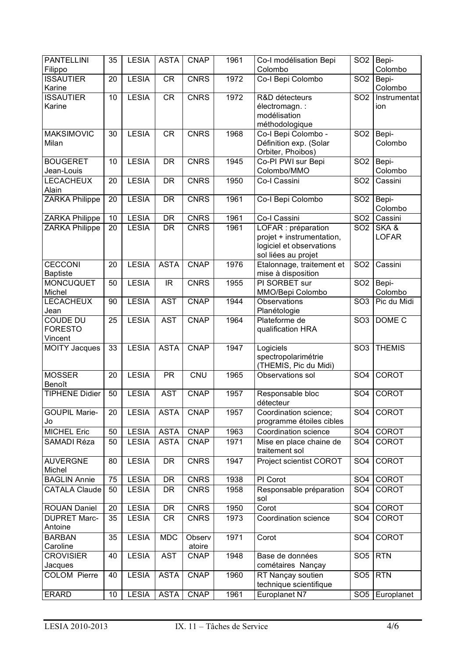| <b>PANTELLINI</b>                            | 35 | <b>LESIA</b> | <b>ASTA</b> | <b>CNAP</b>      | 1961 | Co-I modélisation Bepi                                                                              | SO <sub>2</sub> | Bepi-                |
|----------------------------------------------|----|--------------|-------------|------------------|------|-----------------------------------------------------------------------------------------------------|-----------------|----------------------|
| Filippo                                      |    |              |             |                  |      | Colombo                                                                                             |                 | Colombo              |
| <b>ISSAUTIER</b><br>Karine                   | 20 | <b>LESIA</b> | <b>CR</b>   | <b>CNRS</b>      | 1972 | Co-I Bepi Colombo                                                                                   | SO <sub>2</sub> | Bepi-<br>Colombo     |
| <b>ISSAUTIER</b><br>Karine                   | 10 | <b>LESIA</b> | CR          | <b>CNRS</b>      | 1972 | R&D détecteurs<br>électromagn. :<br>modélisation<br>méthodologique                                  | SO <sub>2</sub> | Instrumentat<br>ion  |
| <b>MAKSIMOVIC</b><br>Milan                   | 30 | <b>LESIA</b> | <b>CR</b>   | <b>CNRS</b>      | 1968 | Co-I Bepi Colombo -<br>Définition exp. (Solar<br>Orbiter, Phoibos)                                  | SO <sub>2</sub> | Bepi-<br>Colombo     |
| <b>BOUGERET</b><br>Jean-Louis                | 10 | <b>LESIA</b> | <b>DR</b>   | <b>CNRS</b>      | 1945 | Co-PI PWI sur Bepi<br>Colombo/MMO                                                                   | SO <sub>2</sub> | Bepi-<br>Colombo     |
| <b>LECACHEUX</b><br>Alain                    | 20 | <b>LESIA</b> | <b>DR</b>   | <b>CNRS</b>      | 1950 | Co-I Cassini                                                                                        | SO <sub>2</sub> | Cassini              |
| <b>ZARKA Philippe</b>                        | 20 | <b>LESIA</b> | DR          | <b>CNRS</b>      | 1961 | Co-I Bepi Colombo                                                                                   | SO <sub>2</sub> | Bepi-<br>Colombo     |
| ZARKA Philippe                               | 10 | <b>LESIA</b> | <b>DR</b>   | <b>CNRS</b>      | 1961 | Co-I Cassini                                                                                        | SO <sub>2</sub> | Cassini              |
| <b>ZARKA Philippe</b>                        | 20 | <b>LESIA</b> | <b>DR</b>   | <b>CNRS</b>      | 1961 | LOFAR : préparation<br>projet + instrumentation,<br>logiciel et observations<br>sol liées au projet | SO <sub>2</sub> | SKA&<br><b>LOFAR</b> |
| <b>CECCONI</b><br><b>Baptiste</b>            | 20 | <b>LESIA</b> | <b>ASTA</b> | <b>CNAP</b>      | 1976 | Etalonnage, traitement et<br>mise à disposition                                                     | SO <sub>2</sub> | Cassini              |
| <b>MONCUQUET</b><br>Michel                   | 50 | <b>LESIA</b> | IR          | <b>CNRS</b>      | 1955 | PI SORBET sur<br>MMO/Bepi Colombo                                                                   | SO <sub>2</sub> | Bepi-<br>Colombo     |
| <b>LECACHEUX</b><br>Jean                     | 90 | <b>LESIA</b> | <b>AST</b>  | <b>CNAP</b>      | 1944 | Observations<br>Planétologie                                                                        | SO <sub>3</sub> | Pic du Midi          |
| <b>COUDE DU</b><br><b>FORESTO</b><br>Vincent | 25 | <b>LESIA</b> | <b>AST</b>  | <b>CNAP</b>      | 1964 | Plateforme de<br>qualification HRA                                                                  | SO <sub>3</sub> | DOME <sub>C</sub>    |
| <b>MOITY Jacques</b>                         | 33 | <b>LESIA</b> | <b>ASTA</b> | <b>CNAP</b>      | 1947 | Logiciels<br>spectropolarimétrie<br>(THEMIS, Pic du Midi)                                           | SO <sub>3</sub> | <b>THEMIS</b>        |
| <b>MOSSER</b><br>Benoît                      | 20 | <b>LESIA</b> | <b>PR</b>   | <b>CNU</b>       | 1965 | Observations sol                                                                                    | SO <sub>4</sub> | <b>COROT</b>         |
| <b>TIPHENE Didier</b>                        | 50 | <b>LESIA</b> | <b>AST</b>  | <b>CNAP</b>      | 1957 | Responsable bloc<br>détecteur                                                                       | SO <sub>4</sub> | <b>COROT</b>         |
| <b>GOUPIL Marie-</b><br>Jo                   | 20 | <b>LESIA</b> | <b>ASTA</b> | <b>CNAP</b>      | 1957 | Coordination science;<br>programme étoiles cibles                                                   | SO <sub>4</sub> | <b>COROT</b>         |
| <b>MICHEL Eric</b>                           | 50 | <b>LESIA</b> | <b>ASTA</b> | <b>CNAP</b>      | 1963 | Coordination science                                                                                | SO <sub>4</sub> | <b>COROT</b>         |
| SAMADI Réza                                  | 50 | <b>LESIA</b> | <b>ASTA</b> | <b>CNAP</b>      | 1971 | Mise en place chaine de<br>traitement sol                                                           | SO <sub>4</sub> | COROT                |
| <b>AUVERGNE</b><br>Michel                    | 80 | <b>LESIA</b> | <b>DR</b>   | <b>CNRS</b>      | 1947 | Project scientist COROT                                                                             | SO <sub>4</sub> | COROT                |
| <b>BAGLIN Annie</b>                          | 75 | <b>LESIA</b> | DR          | <b>CNRS</b>      | 1938 | PI Corot                                                                                            | SO <sub>4</sub> | COROT                |
| <b>CATALA Claude</b>                         | 50 | <b>LESIA</b> | <b>DR</b>   | <b>CNRS</b>      | 1958 | Responsable préparation<br>sol                                                                      | SO <sub>4</sub> | <b>COROT</b>         |
| <b>ROUAN Daniel</b>                          | 20 | <b>LESIA</b> | <b>DR</b>   | <b>CNRS</b>      | 1950 | Corot                                                                                               | SO <sub>4</sub> | <b>COROT</b>         |
| <b>DUPRET Marc-</b><br>Antoine               | 35 | <b>LESIA</b> | CR          | <b>CNRS</b>      | 1973 | Coordination science                                                                                | SO <sub>4</sub> | <b>COROT</b>         |
| <b>BARBAN</b><br>Caroline                    | 35 | <b>LESIA</b> | <b>MDC</b>  | Observ<br>atoire | 1971 | Corot                                                                                               | SO <sub>4</sub> | <b>COROT</b>         |
| <b>CROVISIER</b><br>Jacques                  | 40 | <b>LESIA</b> | <b>AST</b>  | <b>CNAP</b>      | 1948 | Base de données<br>cométaires Nançay                                                                | SO <sub>5</sub> | <b>RTN</b>           |
| <b>COLOM Pierre</b>                          | 40 | <b>LESIA</b> | <b>ASTA</b> | <b>CNAP</b>      | 1960 | RT Nançay soutien<br>technique scientifique                                                         | SO <sub>5</sub> | <b>RTN</b>           |
| <b>ERARD</b>                                 | 10 | <b>LESIA</b> | <b>ASTA</b> | <b>CNAP</b>      | 1961 | Europlanet N7                                                                                       | SO <sub>5</sub> | Europlanet           |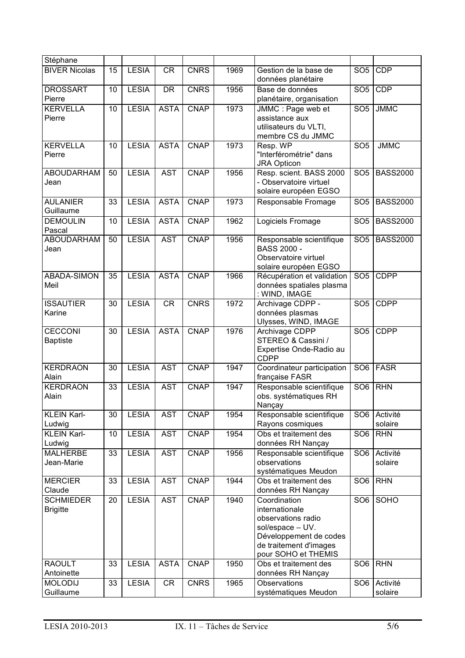| Stéphane                            |    |              |             |             |      |                                                                                                                                                     |                 |                     |
|-------------------------------------|----|--------------|-------------|-------------|------|-----------------------------------------------------------------------------------------------------------------------------------------------------|-----------------|---------------------|
| <b>BIVER Nicolas</b>                | 15 | <b>LESIA</b> | <b>CR</b>   | <b>CNRS</b> | 1969 | Gestion de la base de<br>données planétaire                                                                                                         | SO <sub>5</sub> | <b>CDP</b>          |
| <b>DROSSART</b><br>Pierre           | 10 | <b>LESIA</b> | <b>DR</b>   | <b>CNRS</b> | 1956 | Base de données<br>planétaire, organisation                                                                                                         | SO <sub>5</sub> | <b>CDP</b>          |
| <b>KERVELLA</b><br>Pierre           | 10 | <b>LESIA</b> | <b>ASTA</b> | <b>CNAP</b> | 1973 | JMMC : Page web et<br>assistance aux<br>utilisateurs du VLTI,<br>membre CS du JMMC                                                                  | SO <sub>5</sub> | <b>JMMC</b>         |
| <b>KERVELLA</b><br>Pierre           | 10 | <b>LESIA</b> | <b>ASTA</b> | <b>CNAP</b> | 1973 | Resp. WP<br>"Interférométrie" dans<br><b>JRA Opticon</b>                                                                                            | SO <sub>5</sub> | <b>JMMC</b>         |
| ABOUDARHAM<br>Jean                  | 50 | <b>LESIA</b> | <b>AST</b>  | <b>CNAP</b> | 1956 | Resp. scient. BASS 2000<br>- Observatoire virtuel<br>solaire européen EGSO                                                                          | SO <sub>5</sub> | <b>BASS2000</b>     |
| <b>AULANIER</b><br>Guillaume        | 33 | <b>LESIA</b> | <b>ASTA</b> | <b>CNAP</b> | 1973 | Responsable Fromage                                                                                                                                 | SO <sub>5</sub> | <b>BASS2000</b>     |
| <b>DEMOULIN</b><br>Pascal           | 10 | <b>LESIA</b> | <b>ASTA</b> | <b>CNAP</b> | 1962 | Logiciels Fromage                                                                                                                                   | SO <sub>5</sub> | <b>BASS2000</b>     |
| <b>ABOUDARHAM</b><br>Jean           | 50 | <b>LESIA</b> | <b>AST</b>  | <b>CNAP</b> | 1956 | Responsable scientifique<br><b>BASS 2000 -</b><br>Observatoire virtuel<br>solaire européen EGSO                                                     | SO <sub>5</sub> | <b>BASS2000</b>     |
| ABADA-SIMON<br>Meil                 | 35 | <b>LESIA</b> | <b>ASTA</b> | <b>CNAP</b> | 1966 | Récupération et validation<br>données spatiales plasma<br>: WIND, IMAGE                                                                             | SO <sub>5</sub> | <b>CDPP</b>         |
| <b>ISSAUTIER</b><br>Karine          | 30 | <b>LESIA</b> | <b>CR</b>   | <b>CNRS</b> | 1972 | Archivage CDPP -<br>données plasmas<br>Ulysses, WIND, IMAGE                                                                                         | SO <sub>5</sub> | <b>CDPP</b>         |
| <b>CECCONI</b><br><b>Baptiste</b>   | 30 | <b>LESIA</b> | <b>ASTA</b> | <b>CNAP</b> | 1976 | Archivage CDPP<br>STEREO & Cassini /<br>Expertise Onde-Radio au<br><b>CDPP</b>                                                                      | SO <sub>5</sub> | <b>CDPP</b>         |
| <b>KERDRAON</b><br>Alain            | 30 | <b>LESIA</b> | <b>AST</b>  | <b>CNAP</b> | 1947 | Coordinateur participation<br>française FASR                                                                                                        | SO <sub>6</sub> | <b>FASR</b>         |
| <b>KERDRAON</b><br>Alain            | 33 | <b>LESIA</b> | <b>AST</b>  | <b>CNAP</b> | 1947 | Responsable scientifique<br>obs. systématiques RH<br>Nançay                                                                                         | SO <sub>6</sub> | <b>RHN</b>          |
| <b>KLEIN Karl-</b><br>Ludwig        | 30 | <b>LESIA</b> | <b>AST</b>  | <b>CNAP</b> | 1954 | Responsable scientifique<br>Rayons cosmiques                                                                                                        | SO <sub>6</sub> | Activité<br>solaire |
| <b>KLEIN Karl-</b><br>Ludwig        | 10 | <b>LESIA</b> | <b>AST</b>  | <b>CNAP</b> | 1954 | Obs et traitement des<br>données RH Nançay                                                                                                          | SO <sub>6</sub> | <b>RHN</b>          |
| <b>MALHERBE</b><br>Jean-Marie       | 33 | <b>LESIA</b> | <b>AST</b>  | <b>CNAP</b> | 1956 | Responsable scientifique<br>observations<br>systématiques Meudon                                                                                    | SO <sub>6</sub> | Activité<br>solaire |
| <b>MERCIER</b><br>Claude            | 33 | <b>LESIA</b> | <b>AST</b>  | <b>CNAP</b> | 1944 | Obs et traitement des<br>données RH Nançay                                                                                                          | SO <sub>6</sub> | <b>RHN</b>          |
| <b>SCHMIEDER</b><br><b>Brigitte</b> | 20 | <b>LESIA</b> | <b>AST</b>  | <b>CNAP</b> | 1940 | Coordination<br>internationale<br>observations radio<br>sol/espace - UV.<br>Développement de codes<br>de traitement d'images<br>pour SOHO et THEMIS | SO <sub>6</sub> | SOHO                |
| <b>RAOULT</b><br>Antoinette         | 33 | <b>LESIA</b> | <b>ASTA</b> | <b>CNAP</b> | 1950 | Obs et traitement des<br>données RH Nançay                                                                                                          | SO <sub>6</sub> | <b>RHN</b>          |
| <b>MOLODIJ</b><br>Guillaume         | 33 | <b>LESIA</b> | CR          | <b>CNRS</b> | 1965 | <b>Observations</b><br>systématiques Meudon                                                                                                         | SO <sub>6</sub> | Activité<br>solaire |